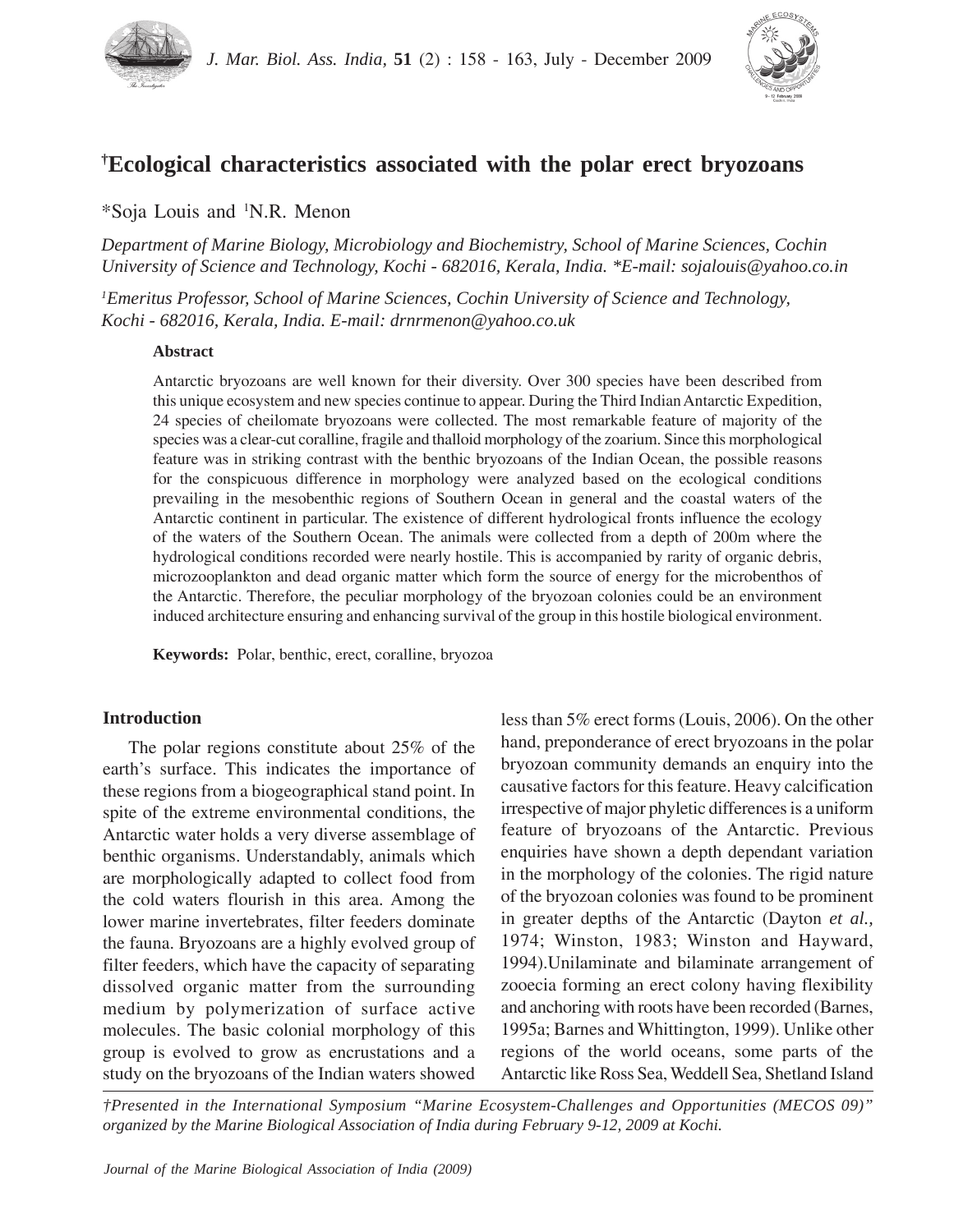



# **† Ecological characteristics associated with the polar erect bryozoans**

\*Soja Louis and 1 N.R. Menon

*Department of Marine Biology, Microbiology and Biochemistry, School of Marine Sciences, Cochin University of Science and Technology, Kochi - 682016, Kerala, India. \*E-mail: sojalouis@yahoo.co.in*

*1 Emeritus Professor, School of Marine Sciences, Cochin University of Science and Technology, Kochi - 682016, Kerala, India. E-mail: drnrmenon@yahoo.co.uk*

## **Abstract**

Antarctic bryozoans are well known for their diversity. Over 300 species have been described from this unique ecosystem and new species continue to appear. During the Third Indian Antarctic Expedition, 24 species of cheilomate bryozoans were collected. The most remarkable feature of majority of the species was a clear-cut coralline, fragile and thalloid morphology of the zoarium. Since this morphological feature was in striking contrast with the benthic bryozoans of the Indian Ocean, the possible reasons for the conspicuous difference in morphology were analyzed based on the ecological conditions prevailing in the mesobenthic regions of Southern Ocean in general and the coastal waters of the Antarctic continent in particular. The existence of different hydrological fronts influence the ecology of the waters of the Southern Ocean. The animals were collected from a depth of 200m where the hydrological conditions recorded were nearly hostile. This is accompanied by rarity of organic debris, microzooplankton and dead organic matter which form the source of energy for the microbenthos of the Antarctic. Therefore, the peculiar morphology of the bryozoan colonies could be an environment induced architecture ensuring and enhancing survival of the group in this hostile biological environment.

**Keywords:** Polar, benthic, erect, coralline, bryozoa

## **Introduction**

The polar regions constitute about 25% of the earth's surface. This indicates the importance of these regions from a biogeographical stand point. In spite of the extreme environmental conditions, the Antarctic water holds a very diverse assemblage of benthic organisms. Understandably, animals which are morphologically adapted to collect food from the cold waters flourish in this area. Among the lower marine invertebrates, filter feeders dominate the fauna. Bryozoans are a highly evolved group of filter feeders, which have the capacity of separating dissolved organic matter from the surrounding medium by polymerization of surface active molecules. The basic colonial morphology of this group is evolved to grow as encrustations and a study on the bryozoans of the Indian waters showed less than 5% erect forms (Louis, 2006). On the other hand, preponderance of erect bryozoans in the polar bryozoan community demands an enquiry into the causative factors for this feature. Heavy calcification irrespective of major phyletic differences is a uniform feature of bryozoans of the Antarctic. Previous enquiries have shown a depth dependant variation in the morphology of the colonies. The rigid nature of the bryozoan colonies was found to be prominent in greater depths of the Antarctic (Dayton *et al.,* 1974; Winston, 1983; Winston and Hayward, 1994).Unilaminate and bilaminate arrangement of zooecia forming an erect colony having flexibility and anchoring with roots have been recorded (Barnes, 1995a; Barnes and Whittington, 1999). Unlike other regions of the world oceans, some parts of the Antarctic like Ross Sea, Weddell Sea, Shetland Island

*†Presented in the International Symposium "Marine Ecosystem-Challenges and Opportunities (MECOS 09)" organized by the Marine Biological Association of India during February 9-12, 2009 at Kochi.*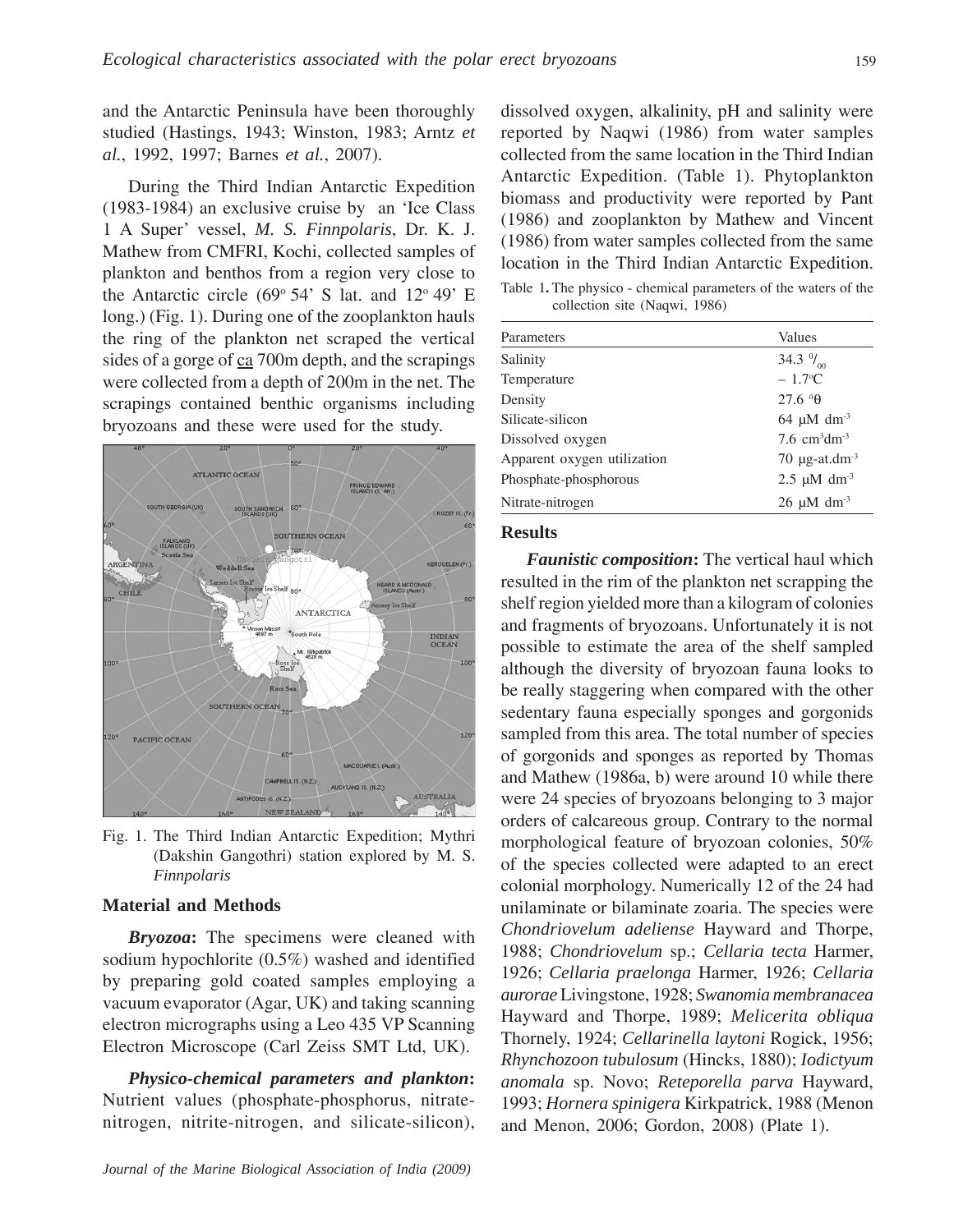and the Antarctic Peninsula have been thoroughly studied (Hastings, 1943; Winston, 1983; Arntz *et al.*, 1992, 1997; Barnes *et al.*, 2007).

During the Third Indian Antarctic Expedition (1983-1984) an exclusive cruise by an 'Ice Class 1 A Super' vessel, *M. S. Finnpolaris*, Dr. K. J. Mathew from CMFRI, Kochi, collected samples of plankton and benthos from a region very close to the Antarctic circle (69 $\degree$  54' S lat. and 12 $\degree$  49' E long.) (Fig. 1). During one of the zooplankton hauls the ring of the plankton net scraped the vertical sides of a gorge of  $ca$  700m depth, and the scrapings were collected from a depth of 200m in the net. The scrapings contained benthic organisms including bryozoans and these were used for the study.



Fig. 1. The Third Indian Antarctic Expedition; Mythri (Dakshin Gangothri) station explored by M. S. *Finnpolaris*

#### **Material and Methods**

*Bryozoa***:** The specimens were cleaned with sodium hypochlorite (0.5%) washed and identified by preparing gold coated samples employing a vacuum evaporator (Agar, UK) and taking scanning electron micrographs using a Leo 435 VP Scanning Electron Microscope (Carl Zeiss SMT Ltd, UK).

*Physico-chemical parameters and plankton***:** Nutrient values (phosphate-phosphorus, nitratenitrogen, nitrite-nitrogen, and silicate-silicon), dissolved oxygen, alkalinity, pH and salinity were reported by Naqwi (1986) from water samples collected from the same location in the Third Indian Antarctic Expedition. (Table 1). Phytoplankton biomass and productivity were reported by Pant (1986) and zooplankton by Mathew and Vincent (1986) from water samples collected from the same location in the Third Indian Antarctic Expedition.

Table 1**.** The physico - chemical parameters of the waters of the collection site (Naqwi, 1986)

| Parameters                  | Values                                    |
|-----------------------------|-------------------------------------------|
| Salinity                    | 34.3 $\frac{0}{100}$                      |
| Temperature                 | $-1.7$ <sup>o</sup> C                     |
| Density                     | $27.6\text{°}\theta$                      |
| Silicate-silicon            | $64 \mu M$ dm <sup>-3</sup>               |
| Dissolved oxygen            | 7.6 $cm3dm-3$                             |
| Apparent oxygen utilization | 70 $\mu$ g-at.dm <sup>-3</sup>            |
| Phosphate-phosphorous       | $2.5 \text{ }\mu\text{M} \text{ dm}^{-3}$ |
| Nitrate-nitrogen            | $26 \mu M$ dm <sup>-3</sup>               |

### **Results**

*Faunistic composition***:** The vertical haul which resulted in the rim of the plankton net scrapping the shelf region yielded more than a kilogram of colonies and fragments of bryozoans. Unfortunately it is not possible to estimate the area of the shelf sampled although the diversity of bryozoan fauna looks to be really staggering when compared with the other sedentary fauna especially sponges and gorgonids sampled from this area. The total number of species of gorgonids and sponges as reported by Thomas and Mathew (1986a, b) were around 10 while there were 24 species of bryozoans belonging to 3 major orders of calcareous group. Contrary to the normal morphological feature of bryozoan colonies, 50% of the species collected were adapted to an erect colonial morphology. Numerically 12 of the 24 had unilaminate or bilaminate zoaria. The species were *Chondriovelum adeliense* Hayward and Thorpe, 1988; *Chondriovelum* sp.; *Cellaria tecta* Harmer, 1926; *Cellaria praelonga* Harmer, 1926; *Cellaria aurorae* Livingstone, 1928; *Swanomia membranacea* Hayward and Thorpe, 1989; *Melicerita obliqua* Thornely, 1924; *Cellarinella laytoni* Rogick, 1956; *Rhynchozoon tubulosum* (Hincks, 1880); *Iodictyum anomala* sp. Novo; *Reteporella parva* Hayward, 1993; *Hornera spinigera* Kirkpatrick, 1988 (Menon and Menon, 2006; Gordon, 2008) (Plate 1).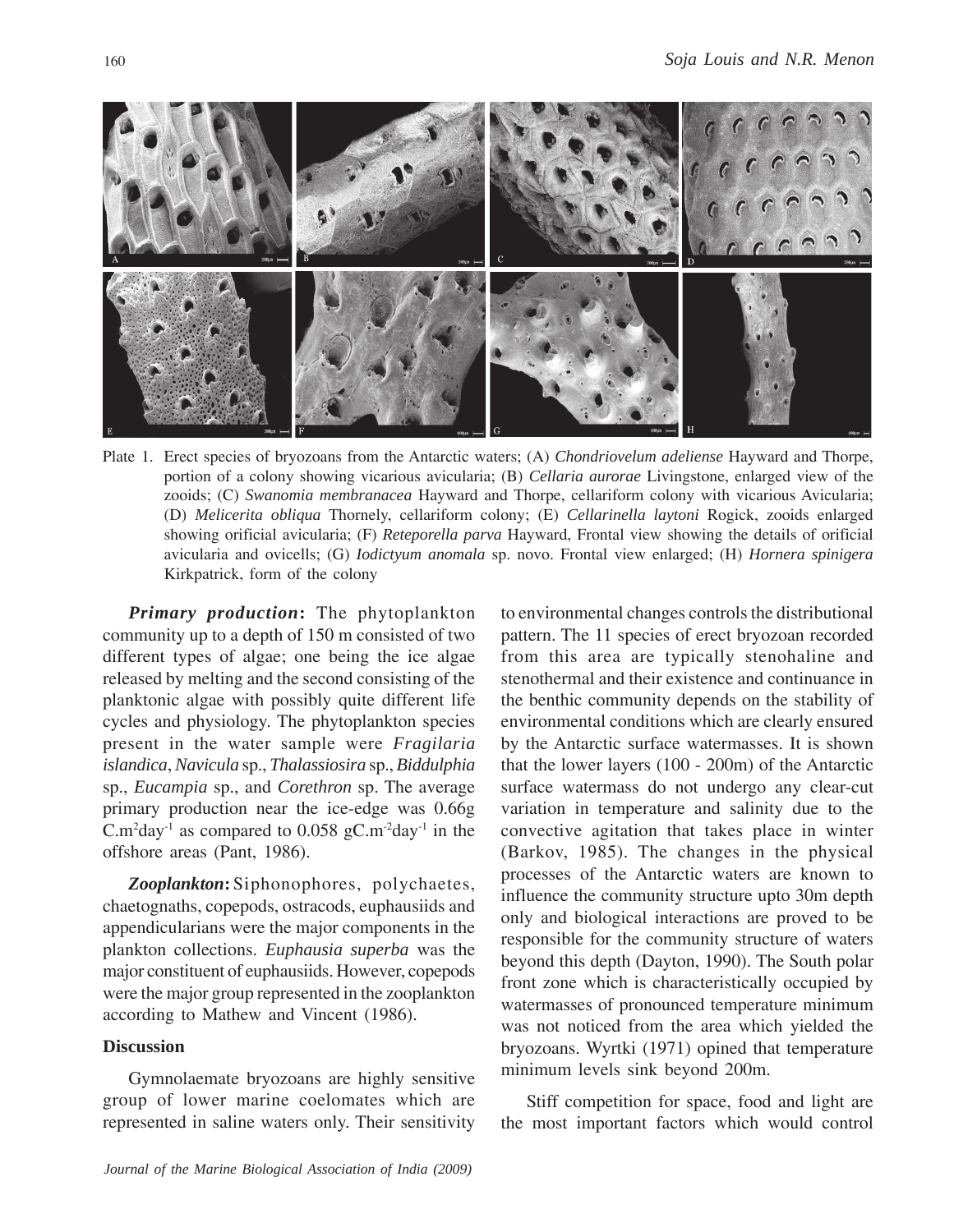

Plate 1. Erect species of bryozoans from the Antarctic waters; (A) *Chondriovelum adeliense* Hayward and Thorpe, portion of a colony showing vicarious avicularia; (B) *Cellaria aurorae* Livingstone, enlarged view of the zooids; (C) *Swanomia membranacea* Hayward and Thorpe, cellariform colony with vicarious Avicularia; (D) *Melicerita obliqua* Thornely, cellariform colony; (E) *Cellarinella laytoni* Rogick, zooids enlarged showing orificial avicularia; (F) *Reteporella parva* Hayward, Frontal view showing the details of orificial avicularia and ovicells; (G) *Iodictyum anomala* sp. novo. Frontal view enlarged; (H) *Hornera spinigera* Kirkpatrick, form of the colony

*Primary production***:** The phytoplankton community up to a depth of 150 m consisted of two different types of algae; one being the ice algae released by melting and the second consisting of the planktonic algae with possibly quite different life cycles and physiology. The phytoplankton species present in the water sample were *Fragilaria islandica*, *Navicula* sp., *Thalassiosira* sp., *Biddulphia* sp., *Eucampia* sp., and *Corethron* sp. The average primary production near the ice-edge was 0.66g C.m<sup>2</sup>day<sup>-1</sup> as compared to 0.058 gC.m<sup>-2</sup>day<sup>-1</sup> in the offshore areas (Pant, 1986).

*Zooplankton***:** Siphonophores, polychaetes, chaetognaths, copepods, ostracods, euphausiids and appendicularians were the major components in the plankton collections. *Euphausia superba* was the major constituent of euphausiids. However, copepods were the major group represented in the zooplankton according to Mathew and Vincent (1986).

## **Discussion**

Gymnolaemate bryozoans are highly sensitive group of lower marine coelomates which are represented in saline waters only. Their sensitivity to environmental changes controls the distributional pattern. The 11 species of erect bryozoan recorded from this area are typically stenohaline and stenothermal and their existence and continuance in the benthic community depends on the stability of environmental conditions which are clearly ensured by the Antarctic surface watermasses. It is shown that the lower layers (100 - 200m) of the Antarctic surface watermass do not undergo any clear-cut variation in temperature and salinity due to the convective agitation that takes place in winter (Barkov, 1985). The changes in the physical processes of the Antarctic waters are known to influence the community structure upto 30m depth only and biological interactions are proved to be responsible for the community structure of waters beyond this depth (Dayton, 1990). The South polar front zone which is characteristically occupied by watermasses of pronounced temperature minimum was not noticed from the area which yielded the bryozoans. Wyrtki (1971) opined that temperature minimum levels sink beyond 200m.

Stiff competition for space, food and light are the most important factors which would control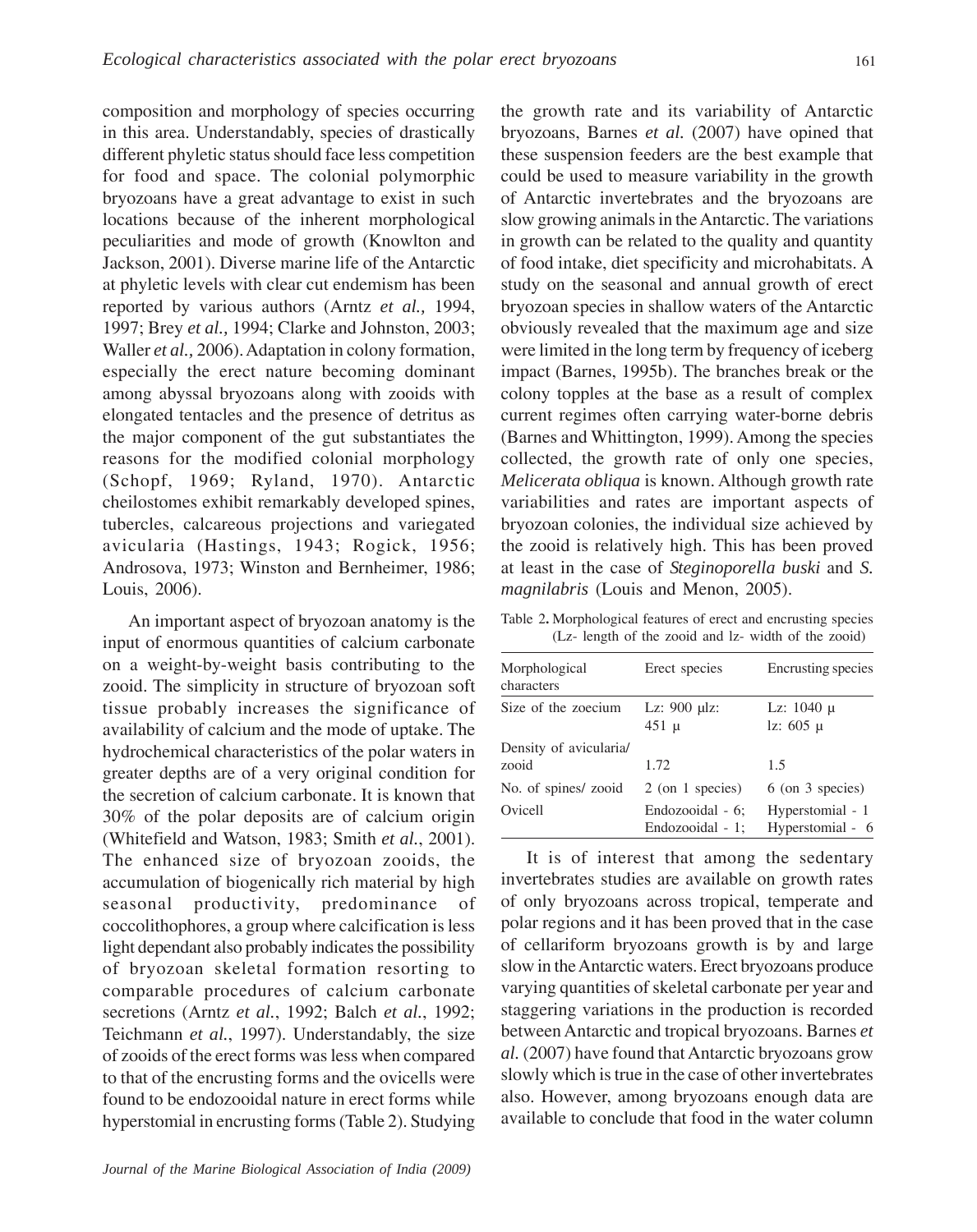composition and morphology of species occurring in this area. Understandably, species of drastically different phyletic status should face less competition for food and space. The colonial polymorphic bryozoans have a great advantage to exist in such locations because of the inherent morphological peculiarities and mode of growth (Knowlton and Jackson, 2001). Diverse marine life of the Antarctic at phyletic levels with clear cut endemism has been reported by various authors (Arntz *et al.,* 1994, 1997; Brey *et al.,* 1994; Clarke and Johnston, 2003; Waller *et al.,* 2006). Adaptation in colony formation, especially the erect nature becoming dominant among abyssal bryozoans along with zooids with elongated tentacles and the presence of detritus as the major component of the gut substantiates the reasons for the modified colonial morphology (Schopf, 1969; Ryland, 1970). Antarctic cheilostomes exhibit remarkably developed spines, tubercles, calcareous projections and variegated avicularia (Hastings, 1943; Rogick, 1956; Androsova, 1973; Winston and Bernheimer, 1986; Louis, 2006).

An important aspect of bryozoan anatomy is the input of enormous quantities of calcium carbonate on a weight-by-weight basis contributing to the zooid. The simplicity in structure of bryozoan soft tissue probably increases the significance of availability of calcium and the mode of uptake. The hydrochemical characteristics of the polar waters in greater depths are of a very original condition for the secretion of calcium carbonate. It is known that 30% of the polar deposits are of calcium origin (Whitefield and Watson, 1983; Smith *et al.*, 2001). The enhanced size of bryozoan zooids, the accumulation of biogenically rich material by high seasonal productivity, predominance of coccolithophores, a group where calcification is less light dependant also probably indicates the possibility of bryozoan skeletal formation resorting to comparable procedures of calcium carbonate secretions (Arntz *et al.*, 1992; Balch *et al.*, 1992; Teichmann *et al.*, 1997). Understandably, the size of zooids of the erect forms was less when compared to that of the encrusting forms and the ovicells were found to be endozooidal nature in erect forms while hyperstomial in encrusting forms (Table 2). Studying

the growth rate and its variability of Antarctic bryozoans, Barnes *et al.* (2007) have opined that these suspension feeders are the best example that could be used to measure variability in the growth of Antarctic invertebrates and the bryozoans are slow growing animals in the Antarctic. The variations in growth can be related to the quality and quantity of food intake, diet specificity and microhabitats. A study on the seasonal and annual growth of erect bryozoan species in shallow waters of the Antarctic obviously revealed that the maximum age and size were limited in the long term by frequency of iceberg impact (Barnes, 1995b). The branches break or the colony topples at the base as a result of complex current regimes often carrying water-borne debris (Barnes and Whittington, 1999). Among the species collected, the growth rate of only one species, *Melicerata obliqua* is known. Although growth rate variabilities and rates are important aspects of bryozoan colonies, the individual size achieved by the zooid is relatively high. This has been proved at least in the case of *Steginoporella buski* and *S. magnilabris* (Louis and Menon, 2005).

| Table 2. Morphological features of erect and encrusting species |  |  |  |
|-----------------------------------------------------------------|--|--|--|
| (Lz- length of the zooid and lz- width of the zooid)            |  |  |  |

| Morphological<br>characters     | Erect species                        | Encrusting species                   |  |
|---------------------------------|--------------------------------------|--------------------------------------|--|
| Size of the zoecium             | Lz: $900$ µlz:<br>$451 \text{ }\mu$  | Lz: $1040 \mu$<br>$1z: 605 \mu$      |  |
| Density of avicularia/<br>zooid | 1.72                                 | 1.5                                  |  |
| No. of spines/ zooid            | 2 (on 1 species)                     | 6 (on 3 species)                     |  |
| Ovicell                         | Endozooidal - 6;<br>Endozooidal - 1; | Hyperstomial - 1<br>Hyperstomial - 6 |  |

It is of interest that among the sedentary invertebrates studies are available on growth rates of only bryozoans across tropical, temperate and polar regions and it has been proved that in the case of cellariform bryozoans growth is by and large slow in the Antarctic waters. Erect bryozoans produce varying quantities of skeletal carbonate per year and staggering variations in the production is recorded between Antarctic and tropical bryozoans. Barnes *et al.* (2007) have found that Antarctic bryozoans grow slowly which is true in the case of other invertebrates also. However, among bryozoans enough data are available to conclude that food in the water column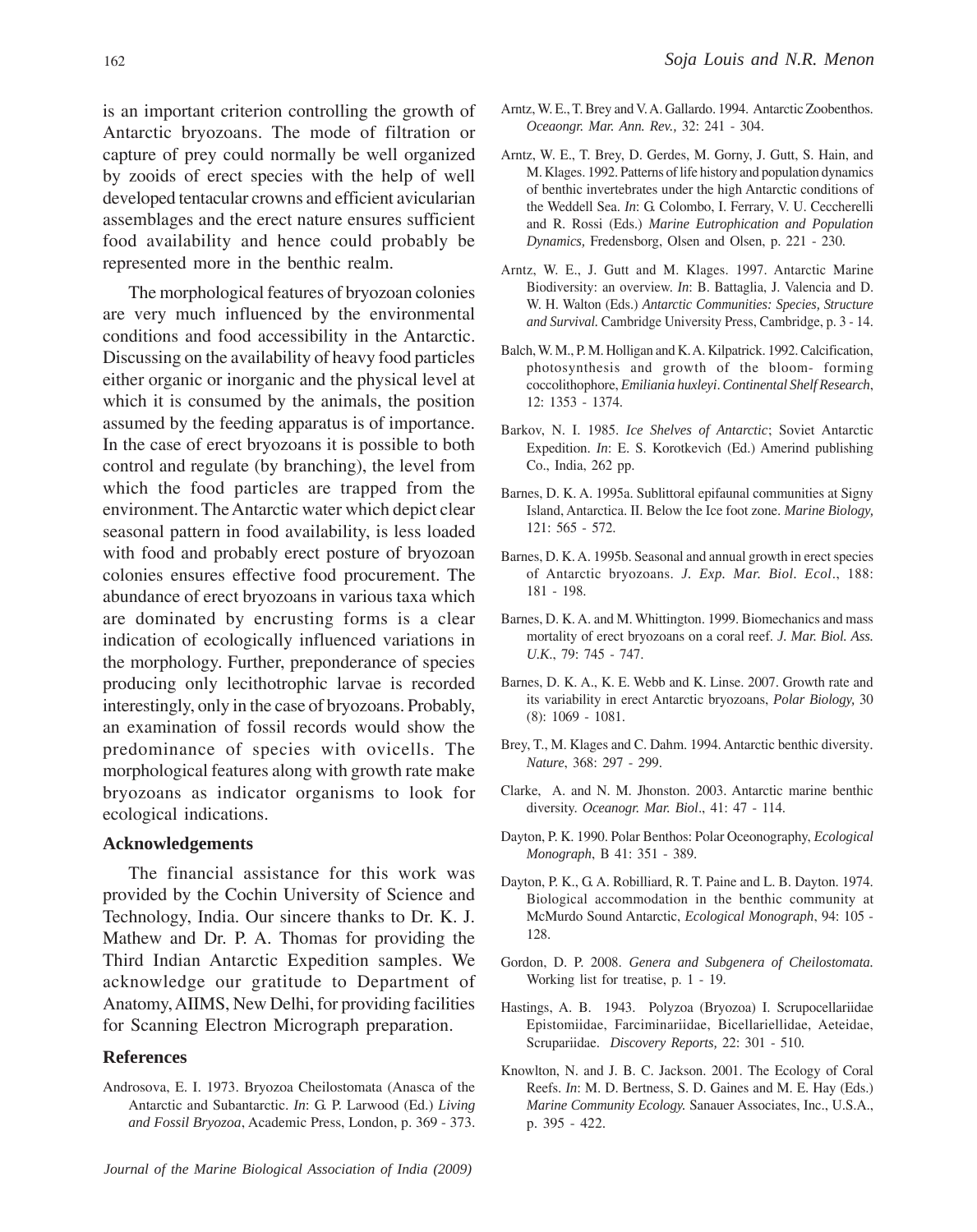is an important criterion controlling the growth of Antarctic bryozoans. The mode of filtration or capture of prey could normally be well organized by zooids of erect species with the help of well developed tentacular crowns and efficient avicularian assemblages and the erect nature ensures sufficient food availability and hence could probably be represented more in the benthic realm.

The morphological features of bryozoan colonies are very much influenced by the environmental conditions and food accessibility in the Antarctic. Discussing on the availability of heavy food particles either organic or inorganic and the physical level at which it is consumed by the animals, the position assumed by the feeding apparatus is of importance. In the case of erect bryozoans it is possible to both control and regulate (by branching), the level from which the food particles are trapped from the environment. The Antarctic water which depict clear seasonal pattern in food availability, is less loaded with food and probably erect posture of bryozoan colonies ensures effective food procurement. The abundance of erect bryozoans in various taxa which are dominated by encrusting forms is a clear indication of ecologically influenced variations in the morphology. Further, preponderance of species producing only lecithotrophic larvae is recorded interestingly, only in the case of bryozoans. Probably, an examination of fossil records would show the predominance of species with ovicells. The morphological features along with growth rate make bryozoans as indicator organisms to look for ecological indications.

#### **Acknowledgements**

The financial assistance for this work was provided by the Cochin University of Science and Technology, India. Our sincere thanks to Dr. K. J. Mathew and Dr. P. A. Thomas for providing the Third Indian Antarctic Expedition samples. We acknowledge our gratitude to Department of Anatomy, AIIMS, New Delhi, for providing facilities for Scanning Electron Micrograph preparation.

## **References**

Androsova, E. I. 1973. Bryozoa Cheilostomata (Anasca of the Antarctic and Subantarctic. *In*: G. P. Larwood (Ed.) *Living and Fossil Bryozoa*, Academic Press, London, p. 369 - 373.

- Arntz, W. E., T. Brey and V. A. Gallardo. 1994. Antarctic Zoobenthos. *Oceaongr. Mar. Ann. Rev.,* 32: 241 - 304.
- Arntz, W. E., T. Brey, D. Gerdes, M. Gorny, J. Gutt, S. Hain, and M. Klages. 1992. Patterns of life history and population dynamics of benthic invertebrates under the high Antarctic conditions of the Weddell Sea. *In*: G. Colombo, I. Ferrary, V. U. Ceccherelli and R. Rossi (Eds.) *Marine Eutrophication and Population Dynamics,* Fredensborg, Olsen and Olsen, p. 221 - 230.
- Arntz, W. E., J. Gutt and M. Klages. 1997. Antarctic Marine Biodiversity: an overview. *In*: B. Battaglia, J. Valencia and D. W. H. Walton (Eds.) *Antarctic Communities: Species, Structure and Survival.* Cambridge University Press, Cambridge, p. 3 - 14.
- Balch, W. M., P. M. Holligan and K. A. Kilpatrick. 1992. Calcification, photosynthesis and growth of the bloom- forming coccolithophore, *Emiliania huxleyi*. *Continental Shelf Research*, 12: 1353 - 1374.
- Barkov, N. I. 1985. *Ice Shelves of Antarctic*; Soviet Antarctic Expedition. *In*: E. S. Korotkevich (Ed.) Amerind publishing Co., India, 262 pp.
- Barnes, D. K. A. 1995a. Sublittoral epifaunal communities at Signy Island, Antarctica. II. Below the Ice foot zone. *Marine Biology,* 121: 565 - 572.
- Barnes, D. K. A. 1995b. Seasonal and annual growth in erect species of Antarctic bryozoans. *J. Exp. Mar. Biol. Ecol*., 188: 181 - 198.
- Barnes, D. K. A. and M. Whittington. 1999. Biomechanics and mass mortality of erect bryozoans on a coral reef. *J. Mar. Biol. Ass. U.K*., 79: 745 - 747.
- Barnes, D. K. A., K. E. Webb and K. Linse. 2007. Growth rate and its variability in erect Antarctic bryozoans, *Polar Biology,* 30 (8): 1069 - 1081.
- Brey, T., M. Klages and C. Dahm. 1994. Antarctic benthic diversity*. Nature*, 368: 297 - 299.
- Clarke, A. and N. M. Jhonston. 2003. Antarctic marine benthic diversity. *Oceanogr. Mar. Biol*., 41: 47 - 114.
- Dayton, P. K. 1990. Polar Benthos: Polar Oceonography, *Ecological Monograph*, B 41: 351 - 389.
- Dayton, P. K., G. A. Robilliard, R. T. Paine and L. B. Dayton. 1974. Biological accommodation in the benthic community at McMurdo Sound Antarctic, *Ecological Monograph*, 94: 105 - 128.
- Gordon, D. P. 2008. *Genera and Subgenera of Cheilostomata.* Working list for treatise, p. 1 - 19.
- Hastings, A. B. 1943. Polyzoa (Bryozoa) I. Scrupocellariidae Epistomiidae, Farciminariidae, Bicellariellidae, Aeteidae, Scrupariidae. *Discovery Reports,* 22: 301 - 510.
- Knowlton, N. and J. B. C. Jackson. 2001. The Ecology of Coral Reefs. *In*: M. D. Bertness, S. D. Gaines and M. E. Hay (Eds.) *Marine Community Ecology.* Sanauer Associates, Inc., U.S.A., p. 395 - 422.